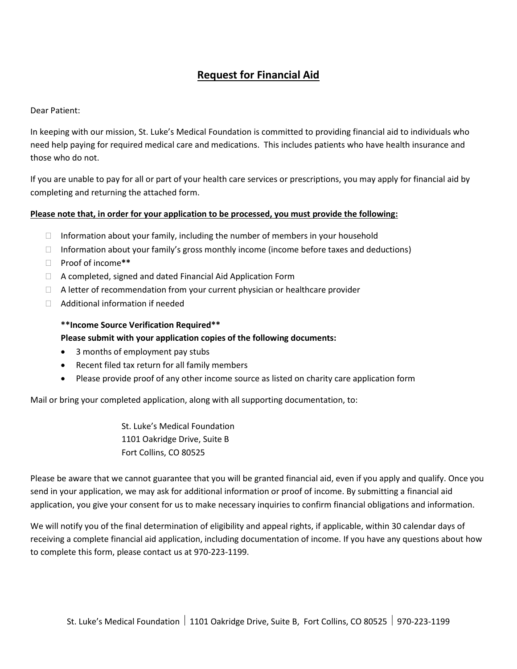# **Request for Financial Aid**

Dear Patient:

In keeping with our mission, St. Luke's Medical Foundation is committed to providing financial aid to individuals who need help paying for required medical care and medications. This includes patients who have health insurance and those who do not.

If you are unable to pay for all or part of your health care services or prescriptions, you may apply for financial aid by completing and returning the attached form.

## **Please note that, in order for your application to be processed, you must provide the following:**

- $\Box$  Information about your family, including the number of members in your household
- $\Box$  Information about your family's gross monthly income (income before taxes and deductions)
- Proof of income**\*\***
- $\Box$  A completed, signed and dated Financial Aid Application Form
- $\Box$  A letter of recommendation from your current physician or healthcare provider
- Additional information if needed

## **\*\*Income Source Verification Required\*\* Please submit with your application copies of the following documents:**

- 3 months of employment pay stubs
- Recent filed tax return for all family members
- Please provide proof of any other income source as listed on charity care application form

Mail or bring your completed application, along with all supporting documentation, to:

St. Luke's Medical Foundation 1101 Oakridge Drive, Suite B Fort Collins, CO 80525

Please be aware that we cannot guarantee that you will be granted financial aid, even if you apply and qualify. Once you send in your application, we may ask for additional information or proof of income. By submitting a financial aid application, you give your consent for us to make necessary inquiries to confirm financial obligations and information.

We will notify you of the final determination of eligibility and appeal rights, if applicable, within 30 calendar days of receiving a complete financial aid application, including documentation of income. If you have any questions about how to complete this form, please contact us at 970-223-1199.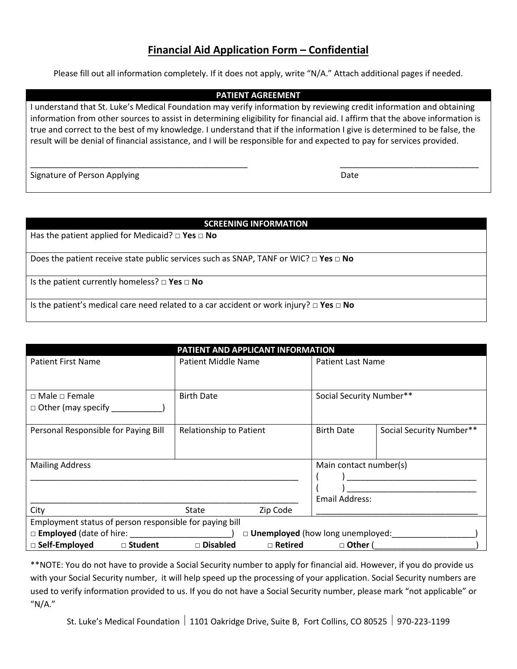## **Financial Aid Application Form – Confidential**

Please fill out all information completely. If it does not apply, write "N/A." Attach additional pages if needed.

#### **PATIENT AGREEMENT**

I understand that St. Luke's Medical Foundation may verify information by reviewing credit information and obtaining information from other sources to assist in determining eligibility for financial aid. I affirm that the above information is true and correct to the best of my knowledge. I understand that if the information I give is determined to be false, the result will be denial of financial assistance, and I will be responsible for and expected to pay for services provided.

\_\_\_\_\_\_\_\_\_\_\_\_\_\_\_\_\_\_\_\_\_\_\_\_\_\_\_\_\_\_\_\_\_\_\_\_\_\_\_\_\_\_\_\_\_\_\_ \_\_\_\_\_\_\_\_\_\_\_\_\_\_\_\_\_\_\_\_\_\_\_\_\_\_\_\_\_\_

Signature of Person Applying Date Controller and the Controller of Person Applying Date

#### **SCREENING INFORMATION**

Has the patient applied for Medicaid? □ **Yes □ No**

Does the patient receive state public services such as SNAP, TANF or WIC? **□ Yes □ No**

Is the patient currently homeless? **□ Yes □ No**

Is the patient's medical care need related to a car accident or work injury? **□ Yes □ No**

| PATIENT AND APPLICANT INFORMATION                                      |                            |                |                                                 |                          |  |  |  |  |
|------------------------------------------------------------------------|----------------------------|----------------|-------------------------------------------------|--------------------------|--|--|--|--|
| <b>Patient First Name</b>                                              | <b>Patient Middle Name</b> |                | <b>Patient Last Name</b>                        |                          |  |  |  |  |
| $\Box$ Male $\Box$ Female<br>$\Box$ Other (may specify $\Box$          | <b>Birth Date</b>          |                | Social Security Number**                        |                          |  |  |  |  |
| Personal Responsible for Paying Bill                                   | Relationship to Patient    |                | <b>Birth Date</b>                               | Social Security Number** |  |  |  |  |
| <b>Mailing Address</b>                                                 |                            |                | Main contact number(s)<br><b>Email Address:</b> |                          |  |  |  |  |
| City                                                                   | State                      | Zip Code       |                                                 |                          |  |  |  |  |
| Employment status of person responsible for paying bill                |                            |                |                                                 |                          |  |  |  |  |
| □ <b>Employed</b> (date of hire:<br>□ Unemployed (how long unemployed: |                            |                |                                                 |                          |  |  |  |  |
| □ Self-Employed<br>□ Student                                           | □ Disabled                 | $\Box$ Retired | $\Box$ Other (                                  |                          |  |  |  |  |

\*\*NOTE: You do not have to provide a Social Security number to apply for financial aid. However, if you do provide us with your Social Security number, it will help speed up the processing of your application. Social Security numbers are used to verify information provided to us. If you do not have a Social Security number, please mark "not applicable" or "N/A."